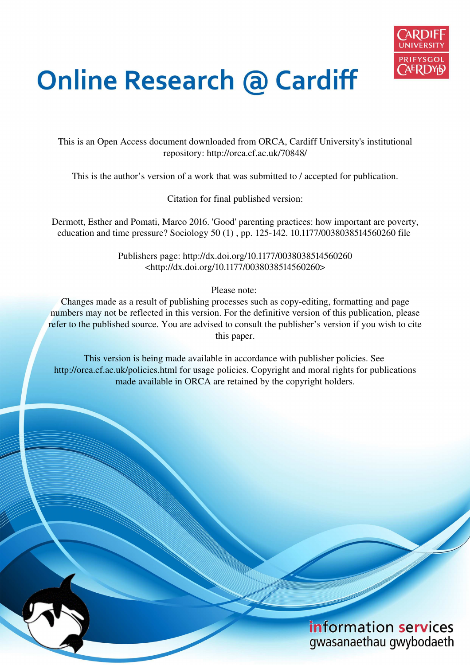

# **Online Research @ Cardiff**

This is an Open Access document downloaded from ORCA, Cardiff University's institutional repository: http://orca.cf.ac.uk/70848/

This is the author's version of a work that was submitted to / accepted for publication.

Citation for final published version:

Dermott, Esther and Pomati, Marco 2016. 'Good' parenting practices: how important are poverty, education and time pressure? Sociology 50 (1) , pp. 125-142. 10.1177/0038038514560260 file

> Publishers page: http://dx.doi.org/10.1177/0038038514560260 <http://dx.doi.org/10.1177/0038038514560260>

> > Please note:

Changes made as a result of publishing processes such as copy-editing, formatting and page numbers may not be reflected in this version. For the definitive version of this publication, please refer to the published source. You are advised to consult the publisher's version if you wish to cite this paper.

This version is being made available in accordance with publisher policies. See http://orca.cf.ac.uk/policies.html for usage policies. Copyright and moral rights for publications made available in ORCA are retained by the copyright holders.

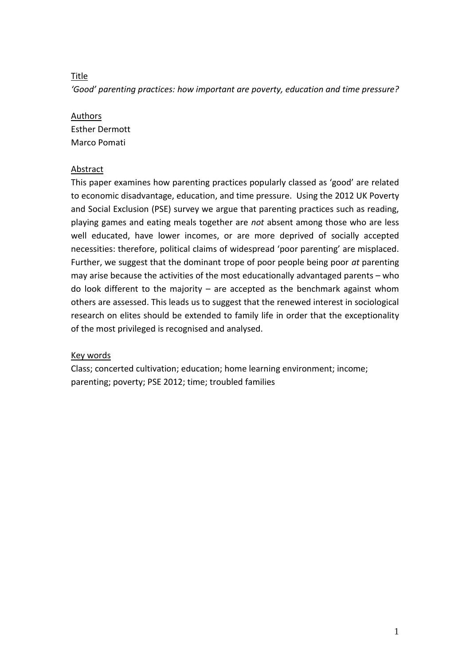# Title

'Good' parenting practices: how important are poverty, education and time pressure?

## Authors

**Esther Dermott** Marco Pomati

# Abstract

This paper examines how parenting practices popularly classed as 'good' are related to economic disadvantage, education, and time pressure. Using the 2012 UK Poverty and Social Exclusion (PSE) survey we argue that parenting practices such as reading, playing games and eating meals together are not absent among those who are less well educated, have lower incomes, or are more deprived of socially accepted necessities: therefore, political claims of widespread 'poor parenting' are misplaced. Further, we suggest that the dominant trope of poor people being poor at parenting may arise because the activities of the most educationally advantaged parents - who do look different to the majority  $-$  are accepted as the benchmark against whom others are assessed. This leads us to suggest that the renewed interest in sociological research on elites should be extended to family life in order that the exceptionality of the most privileged is recognised and analysed.

## <u>Key words</u>

Class; concerted cultivation; education; home learning environment; income; parenting; poverty; PSE 2012; time; troubled families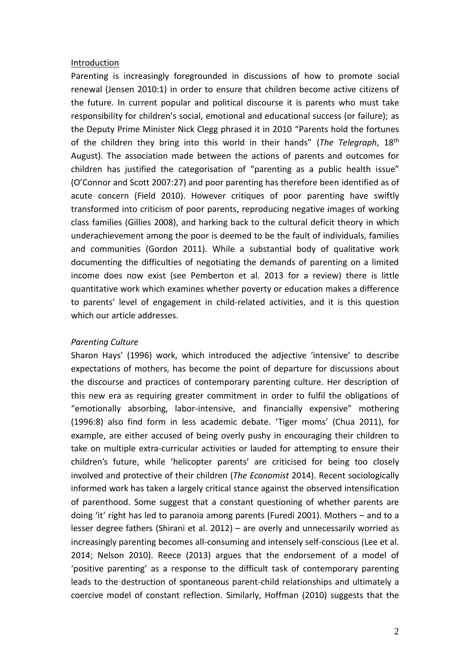#### Introduction

Parenting is increasingly foregrounded in discussions of how to promote social renewal (Jensen 2010:1) in order to ensure that children become active citizens of the future. In current popular and political discourse it is parents who must take responsibility for children's social, emotional and educational success (or failure); as the Deputy Prime Minister Nick Clegg phrased it in 2010 "Parents hold the fortunes of the children they bring into this world in their hands" (The Telegraph, 18<sup>th</sup> August). The association made between the actions of parents and outcomes for children has justified the categorisation of "parenting as a public health issue" (O'Connor and Scott 2007:27) and poor parenting has therefore been identified as of acute concern (Field 2010). However critiques of poor parenting have swiftly transformed into criticism of poor parents, reproducing negative images of working class families (Gillies 2008), and harking back to the cultural deficit theory in which underachievement among the poor is deemed to be the fault of individuals, families and communities (Gordon 2011). While a substantial body of qualitative work documenting the difficulties of negotiating the demands of parenting on a limited income does now exist (see Pemberton et al. 2013 for a review) there is little quantitative work which examines whether poverty or education makes a difference to parents' level of engagement in child-related activities, and it is this question which our article addresses.

## **Parenting Culture**

Sharon Hays' (1996) work, which introduced the adjective 'intensive' to describe expectations of mothers, has become the point of departure for discussions about the discourse and practices of contemporary parenting culture. Her description of this new era as requiring greater commitment in order to fulfil the obligations of "emotionally absorbing, labor-intensive, and financially expensive" mothering (1996:8) also find form in less academic debate. 'Tiger moms' (Chua 2011), for example, are either accused of being overly pushy in encouraging their children to take on multiple extra-curricular activities or lauded for attempting to ensure their children's future, while 'helicopter parents' are criticised for being too closely involved and protective of their children (The Economist 2014). Recent sociologically informed work has taken a largely critical stance against the observed intensification of parenthood. Some suggest that a constant questioning of whether parents are doing 'it' right has led to paranoia among parents (Furedi 2001). Mothers - and to a lesser degree fathers (Shirani et al. 2012) - are overly and unnecessarily worried as increasingly parenting becomes all-consuming and intensely self-conscious (Lee et al. 2014; Nelson 2010). Reece (2013) argues that the endorsement of a model of 'positive parenting' as a response to the difficult task of contemporary parenting leads to the destruction of spontaneous parent-child relationships and ultimately a coercive model of constant reflection. Similarly, Hoffman (2010) suggests that the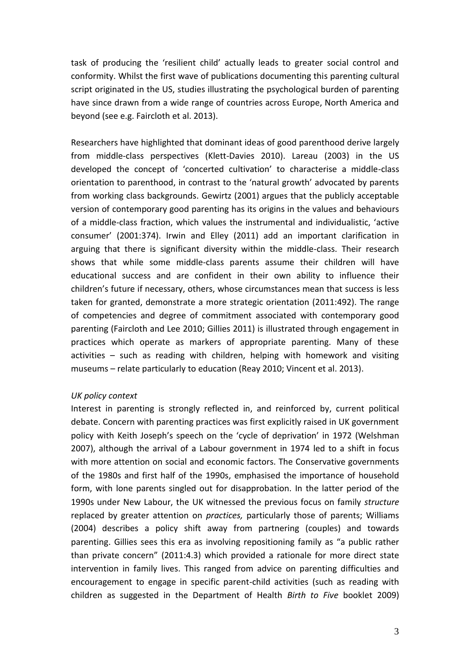task of producing the 'resilient child' actually leads to greater social control and conformity. Whilst the first wave of publications documenting this parenting cultural script originated in the US, studies illustrating the psychological burden of parenting have since drawn from a wide range of countries across Europe, North America and beyond (see e.g. Faircloth et al. 2013).

Researchers have highlighted that dominant ideas of good parenthood derive largely from middle-class perspectives (Klett-Davies 2010). Lareau (2003) in the US developed the concept of 'concerted cultivation' to characterise a middle-class orientation to parenthood, in contrast to the 'natural growth' advocated by parents from working class backgrounds. Gewirtz (2001) argues that the publicly acceptable version of contemporary good parenting has its origins in the values and behaviours of a middle-class fraction, which values the instrumental and individualistic, 'active consumer' (2001:374). Irwin and Elley (2011) add an important clarification in arguing that there is significant diversity within the middle-class. Their research shows that while some middle-class parents assume their children will have educational success and are confident in their own ability to influence their children's future if necessary, others, whose circumstances mean that success is less taken for granted, demonstrate a more strategic orientation (2011:492). The range of competencies and degree of commitment associated with contemporary good parenting (Faircloth and Lee 2010; Gillies 2011) is illustrated through engagement in practices which operate as markers of appropriate parenting. Many of these activities – such as reading with children, helping with homework and visiting museums - relate particularly to education (Reay 2010; Vincent et al. 2013).

#### UK policy context

Interest in parenting is strongly reflected in, and reinforced by, current political debate. Concern with parenting practices was first explicitly raised in UK government policy with Keith Joseph's speech on the 'cycle of deprivation' in 1972 (Welshman 2007), although the arrival of a Labour government in 1974 led to a shift in focus with more attention on social and economic factors. The Conservative governments of the 1980s and first half of the 1990s, emphasised the importance of household form, with lone parents singled out for disapprobation. In the latter period of the 1990s under New Labour, the UK witnessed the previous focus on family structure replaced by greater attention on practices, particularly those of parents; Williams (2004) describes a policy shift away from partnering (couples) and towards parenting. Gillies sees this era as involving repositioning family as "a public rather than private concern" (2011:4.3) which provided a rationale for more direct state intervention in family lives. This ranged from advice on parenting difficulties and encouragement to engage in specific parent-child activities (such as reading with children as suggested in the Department of Health Birth to Five booklet 2009)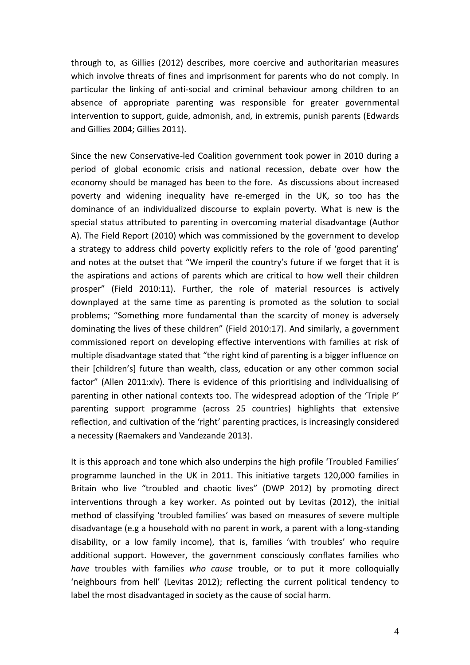through to, as Gillies (2012) describes, more coercive and authoritarian measures which involve threats of fines and imprisonment for parents who do not comply. In particular the linking of anti-social and criminal behaviour among children to an absence of appropriate parenting was responsible for greater governmental intervention to support, guide, admonish, and, in extremis, punish parents (Edwards and Gillies 2004; Gillies 2011).

Since the new Conservative-led Coalition government took power in 2010 during a period of global economic crisis and national recession, debate over how the economy should be managed has been to the fore. As discussions about increased poverty and widening inequality have re-emerged in the UK, so too has the dominance of an individualized discourse to explain poverty. What is new is the special status attributed to parenting in overcoming material disadvantage (Author A). The Field Report (2010) which was commissioned by the government to develop a strategy to address child poverty explicitly refers to the role of 'good parenting' and notes at the outset that "We imperil the country's future if we forget that it is the aspirations and actions of parents which are critical to how well their children prosper" (Field 2010:11). Further, the role of material resources is actively downplayed at the same time as parenting is promoted as the solution to social problems; "Something more fundamental than the scarcity of money is adversely dominating the lives of these children" (Field 2010:17). And similarly, a government commissioned report on developing effective interventions with families at risk of multiple disadvantage stated that "the right kind of parenting is a bigger influence on their [children's] future than wealth, class, education or any other common social factor" (Allen 2011:xiv). There is evidence of this prioritising and individualising of parenting in other national contexts too. The widespread adoption of the 'Triple P' parenting support programme (across 25 countries) highlights that extensive reflection, and cultivation of the 'right' parenting practices, is increasingly considered a necessity (Raemakers and Vandezande 2013).

It is this approach and tone which also underpins the high profile 'Troubled Families' programme launched in the UK in 2011. This initiative targets 120,000 families in Britain who live "troubled and chaotic lives" (DWP 2012) by promoting direct interventions through a key worker. As pointed out by Levitas (2012), the initial method of classifying 'troubled families' was based on measures of severe multiple disadvantage (e.g a household with no parent in work, a parent with a long-standing disability, or a low family income), that is, families 'with troubles' who require additional support. However, the government consciously conflates families who *have* troubles with families *who cause* trouble, or to put it more colloquially 'neighbours from hell' (Levitas 2012); reflecting the current political tendency to label the most disadvantaged in society as the cause of social harm.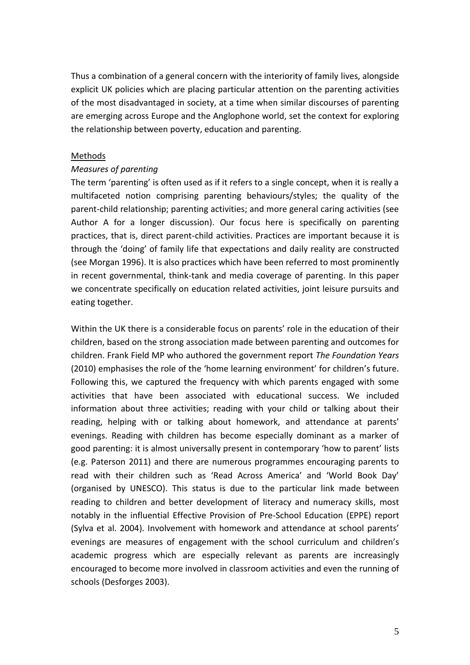Thus a combination of a general concern with the interiority of family lives, alongside explicit UK policies which are placing particular attention on the parenting activities of the most disadvantaged in society, at a time when similar discourses of parenting are emerging across Europe and the Anglophone world, set the context for exploring the relationship between poverty, education and parenting.

## Methods

## Measures of parenting

The term 'parenting' is often used as if it refers to a single concept, when it is really a multifaceted notion comprising parenting behaviours/styles; the quality of the parent-child relationship; parenting activities; and more general caring activities (see Author A for a longer discussion). Our focus here is specifically on parenting practices, that is, direct parent-child activities. Practices are important because it is through the 'doing' of family life that expectations and daily reality are constructed (see Morgan 1996). It is also practices which have been referred to most prominently in recent governmental, think-tank and media coverage of parenting. In this paper we concentrate specifically on education related activities, joint leisure pursuits and eating together.

Within the UK there is a considerable focus on parents' role in the education of their children, based on the strong association made between parenting and outcomes for children. Frank Field MP who authored the government report The Foundation Years (2010) emphasises the role of the 'home learning environment' for children's future. Following this, we captured the frequency with which parents engaged with some activities that have been associated with educational success. We included information about three activities; reading with your child or talking about their reading, helping with or talking about homework, and attendance at parents' evenings. Reading with children has become especially dominant as a marker of good parenting: it is almost universally present in contemporary 'how to parent' lists (e.g. Paterson 2011) and there are numerous programmes encouraging parents to read with their children such as 'Read Across America' and 'World Book Day' (organised by UNESCO). This status is due to the particular link made between reading to children and better development of literacy and numeracy skills, most notably in the influential Effective Provision of Pre-School Education (EPPE) report (Sylva et al. 2004). Involvement with homework and attendance at school parents' evenings are measures of engagement with the school curriculum and children's academic progress which are especially relevant as parents are increasingly encouraged to become more involved in classroom activities and even the running of schools (Desforges 2003).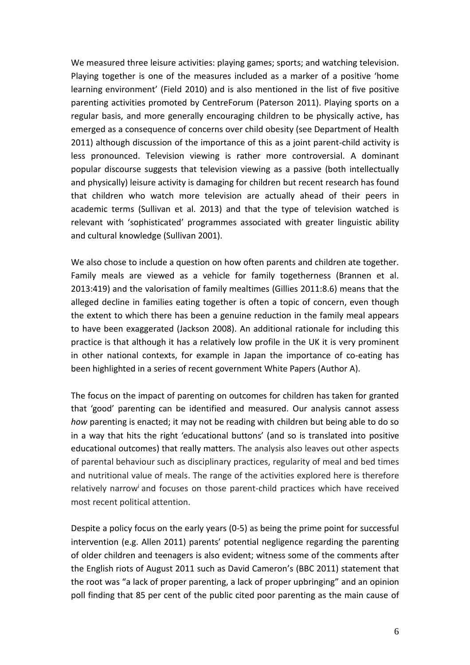We measured three leisure activities: playing games; sports; and watching television. Playing together is one of the measures included as a marker of a positive 'home learning environment' (Field 2010) and is also mentioned in the list of five positive parenting activities promoted by CentreForum (Paterson 2011). Playing sports on a regular basis, and more generally encouraging children to be physically active, has emerged as a consequence of concerns over child obesity (see Department of Health 2011) although discussion of the importance of this as a joint parent-child activity is less pronounced. Television viewing is rather more controversial. A dominant popular discourse suggests that television viewing as a passive (both intellectually and physically) leisure activity is damaging for children but recent research has found that children who watch more television are actually ahead of their peers in academic terms (Sullivan et al. 2013) and that the type of television watched is relevant with 'sophisticated' programmes associated with greater linguistic ability and cultural knowledge (Sullivan 2001).

We also chose to include a question on how often parents and children ate together. Family meals are viewed as a vehicle for family togetherness (Brannen et al. 2013:419) and the valorisation of family mealtimes (Gillies 2011:8.6) means that the alleged decline in families eating together is often a topic of concern, even though the extent to which there has been a genuine reduction in the family meal appears to have been exaggerated (Jackson 2008). An additional rationale for including this practice is that although it has a relatively low profile in the UK it is very prominent in other national contexts, for example in Japan the importance of co-eating has been highlighted in a series of recent government White Papers (Author A).

The focus on the impact of parenting on outcomes for children has taken for granted that 'good' parenting can be identified and measured. Our analysis cannot assess how parenting is enacted; it may not be reading with children but being able to do so in a way that hits the right 'educational buttons' (and so is translated into positive educational outcomes) that really matters. The analysis also leaves out other aspects of parental behaviour such as disciplinary practices, regularity of meal and bed times and nutritional value of meals. The range of the activities explored here is therefore relatively narrow<sup>i</sup> and focuses on those parent-child practices which have received most recent political attention.

Despite a policy focus on the early years (0-5) as being the prime point for successful intervention (e.g. Allen 2011) parents' potential negligence regarding the parenting of older children and teenagers is also evident; witness some of the comments after the English riots of August 2011 such as David Cameron's (BBC 2011) statement that the root was "a lack of proper parenting, a lack of proper upbringing" and an opinion poll finding that 85 per cent of the public cited poor parenting as the main cause of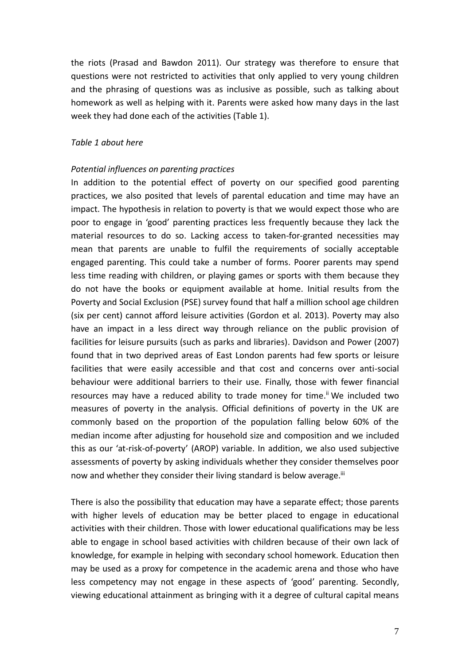the riots (Prasad and Bawdon 2011). Our strategy was therefore to ensure that questions were not restricted to activities that only applied to very young children and the phrasing of questions was as inclusive as possible, such as talking about homework as well as helping with it. Parents were asked how many days in the last week they had done each of the activities (Table 1).

#### Table 1 about here

#### Potential influences on parenting practices

In addition to the potential effect of poverty on our specified good parenting practices, we also posited that levels of parental education and time may have an impact. The hypothesis in relation to poverty is that we would expect those who are poor to engage in 'good' parenting practices less frequently because they lack the material resources to do so. Lacking access to taken-for-granted necessities may mean that parents are unable to fulfil the requirements of socially acceptable engaged parenting. This could take a number of forms. Poorer parents may spend less time reading with children, or playing games or sports with them because they do not have the books or equipment available at home. Initial results from the Poverty and Social Exclusion (PSE) survey found that half a million school age children (six per cent) cannot afford leisure activities (Gordon et al. 2013). Poverty may also have an impact in a less direct way through reliance on the public provision of facilities for leisure pursuits (such as parks and libraries). Davidson and Power (2007) found that in two deprived areas of East London parents had few sports or leisure facilities that were easily accessible and that cost and concerns over anti-social behaviour were additional barriers to their use. Finally, those with fewer financial resources may have a reduced ability to trade money for time." We included two measures of poverty in the analysis. Official definitions of poverty in the UK are commonly based on the proportion of the population falling below 60% of the median income after adjusting for household size and composition and we included this as our 'at-risk-of-poverty' (AROP) variable. In addition, we also used subjective assessments of poverty by asking individuals whether they consider themselves poor now and whether they consider their living standard is below average.<sup>iii</sup>

There is also the possibility that education may have a separate effect; those parents with higher levels of education may be better placed to engage in educational activities with their children. Those with lower educational qualifications may be less able to engage in school based activities with children because of their own lack of knowledge, for example in helping with secondary school homework. Education then may be used as a proxy for competence in the academic arena and those who have less competency may not engage in these aspects of 'good' parenting. Secondly, viewing educational attainment as bringing with it a degree of cultural capital means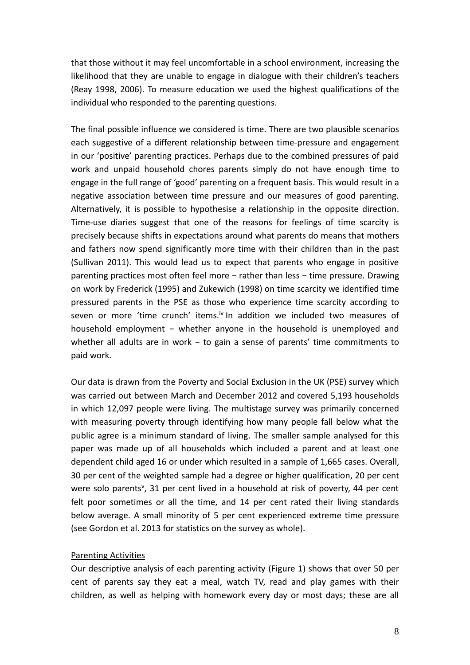that those without it may feel uncomfortable in a school environment, increasing the likelihood that they are unable to engage in dialogue with their children's teachers (Reay 1998, 2006). To measure education we used the highest qualifications of the individual who responded to the parenting questions.

The final possible influence we considered is time. There are two plausible scenarios each suggestive of a different relationship between time-pressure and engagement in our 'positive' parenting practices. Perhaps due to the combined pressures of paid work and unpaid household chores parents simply do not have enough time to engage in the full range of 'good' parenting on a frequent basis. This would result in a negative association between time pressure and our measures of good parenting. Alternatively, it is possible to hypothesise a relationship in the opposite direction. Time-use diaries suggest that one of the reasons for feelings of time scarcity is precisely because shifts in expectations around what parents do means that mothers and fathers now spend significantly more time with their children than in the past (Sullivan 2011). This would lead us to expect that parents who engage in positive parenting practices most often feel more - rather than less - time pressure. Drawing on work by Frederick (1995) and Zukewich (1998) on time scarcity we identified time pressured parents in the PSE as those who experience time scarcity according to seven or more 'time crunch' items.<sup>iv</sup> In addition we included two measures of household employment – whether anyone in the household is unemployed and whether all adults are in work  $-$  to gain a sense of parents' time commitments to paid work.

Our data is drawn from the Poverty and Social Exclusion in the UK (PSE) survey which was carried out between March and December 2012 and covered 5,193 households in which 12,097 people were living. The multistage survey was primarily concerned with measuring poverty through identifying how many people fall below what the public agree is a minimum standard of living. The smaller sample analysed for this paper was made up of all households which included a parent and at least one dependent child aged 16 or under which resulted in a sample of 1,665 cases. Overall, 30 per cent of the weighted sample had a degree or higher qualification, 20 per cent were solo parents<sup>y</sup>, 31 per cent lived in a household at risk of poverty, 44 per cent felt poor sometimes or all the time, and 14 per cent rated their living standards below average. A small minority of 5 per cent experienced extreme time pressure (see Gordon et al. 2013 for statistics on the survey as whole).

## **Parenting Activities**

Our descriptive analysis of each parenting activity (Figure 1) shows that over 50 per cent of parents say they eat a meal, watch TV, read and play games with their children, as well as helping with homework every day or most days; these are all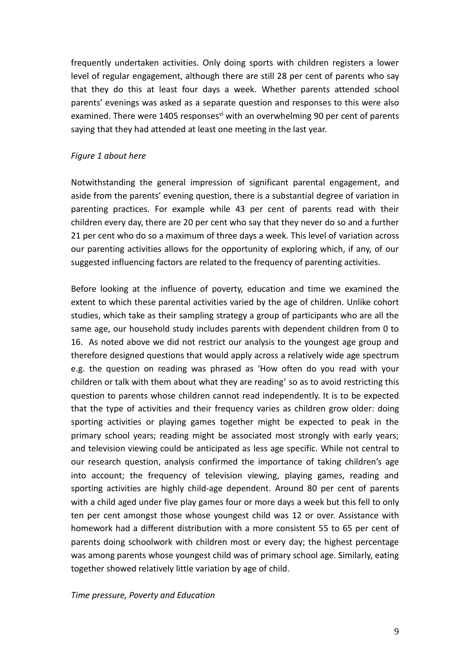frequently undertaken activities. Only doing sports with children registers a lower level of regular engagement, although there are still 28 per cent of parents who say that they do this at least four days a week. Whether parents attended school parents' evenings was asked as a separate question and responses to this were also examined. There were 1405 responses<sup>vi</sup> with an overwhelming 90 per cent of parents saying that they had attended at least one meeting in the last year.

#### Figure 1 about here

Notwithstanding the general impression of significant parental engagement, and aside from the parents' evening question, there is a substantial degree of variation in parenting practices. For example while 43 per cent of parents read with their children every day, there are 20 per cent who say that they never do so and a further 21 per cent who do so a maximum of three days a week. This level of variation across our parenting activities allows for the opportunity of exploring which, if any, of our suggested influencing factors are related to the frequency of parenting activities.

Before looking at the influence of poverty, education and time we examined the extent to which these parental activities varied by the age of children. Unlike cohort studies, which take as their sampling strategy a group of participants who are all the same age, our household study includes parents with dependent children from 0 to 16. As noted above we did not restrict our analysis to the youngest age group and therefore designed questions that would apply across a relatively wide age spectrum e.g. the question on reading was phrased as 'How often do you read with your children or talk with them about what they are reading' so as to avoid restricting this question to parents whose children cannot read independently. It is to be expected that the type of activities and their frequency varies as children grow older: doing sporting activities or playing games together might be expected to peak in the primary school years; reading might be associated most strongly with early years; and television viewing could be anticipated as less age specific. While not central to our research question, analysis confirmed the importance of taking children's age into account; the frequency of television viewing, playing games, reading and sporting activities are highly child-age dependent. Around 80 per cent of parents with a child aged under five play games four or more days a week but this fell to only ten per cent amongst those whose youngest child was 12 or over. Assistance with homework had a different distribution with a more consistent 55 to 65 per cent of parents doing schoolwork with children most or every day; the highest percentage was among parents whose youngest child was of primary school age. Similarly, eating together showed relatively little variation by age of child.

Time pressure, Poverty and Education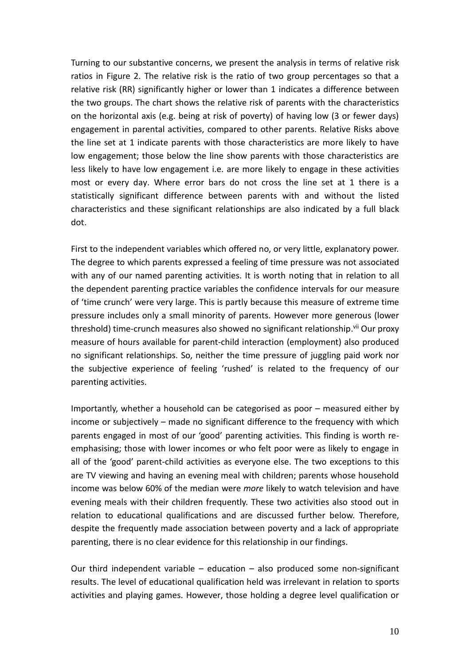Turning to our substantive concerns, we present the analysis in terms of relative risk ratios in Figure 2. The relative risk is the ratio of two group percentages so that a relative risk (RR) significantly higher or lower than 1 indicates a difference between the two groups. The chart shows the relative risk of parents with the characteristics on the horizontal axis (e.g. being at risk of poverty) of having low (3 or fewer days) engagement in parental activities, compared to other parents. Relative Risks above the line set at 1 indicate parents with those characteristics are more likely to have low engagement; those below the line show parents with those characteristics are less likely to have low engagement i.e. are more likely to engage in these activities most or every day. Where error bars do not cross the line set at 1 there is a statistically significant difference between parents with and without the listed characteristics and these significant relationships are also indicated by a full black dot.

First to the independent variables which offered no, or very little, explanatory power. The degree to which parents expressed a feeling of time pressure was not associated with any of our named parenting activities. It is worth noting that in relation to all the dependent parenting practice variables the confidence intervals for our measure of 'time crunch' were very large. This is partly because this measure of extreme time pressure includes only a small minority of parents. However more generous (lower threshold) time-crunch measures also showed no significant relationship.vii Our proxy measure of hours available for parent-child interaction (employment) also produced no significant relationships. So, neither the time pressure of juggling paid work nor the subjective experience of feeling 'rushed' is related to the frequency of our parenting activities.

Importantly, whether a household can be categorised as poor – measured either by income or subjectively – made no significant difference to the frequency with which parents engaged in most of our 'good' parenting activities. This finding is worth reemphasising; those with lower incomes or who felt poor were as likely to engage in all of the 'good' parent-child activities as everyone else. The two exceptions to this are TV viewing and having an evening meal with children; parents whose household income was below 60% of the median were *more* likely to watch television and have evening meals with their children frequently. These two activities also stood out in relation to educational qualifications and are discussed further below. Therefore, despite the frequently made association between poverty and a lack of appropriate parenting, there is no clear evidence for this relationship in our findings.

Our third independent variable – education – also produced some non-significant results. The level of educational qualification held was irrelevant in relation to sports activities and playing games. However, those holding a degree level qualification or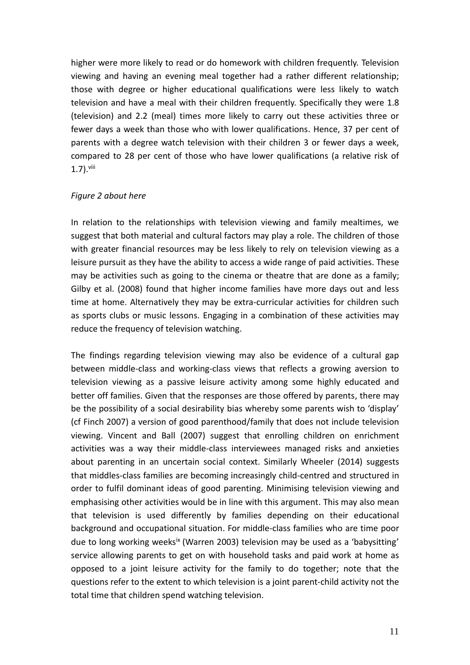higher were more likely to read or do homework with children frequently. Television viewing and having an evening meal together had a rather different relationship; those with degree or higher educational qualifications were less likely to watch television and have a meal with their children frequently. Specifically they were 1.8 (television) and 2.2 (meal) times more likely to carry out these activities three or fewer days a week than those who with lower qualifications. Hence, 37 per cent of parents with a degree watch television with their children 3 or fewer days a week, compared to 28 per cent of those who have lower qualifications (a relative risk of  $1.7$ ). $viii$ 

#### Figure 2 about here

In relation to the relationships with television viewing and family mealtimes, we suggest that both material and cultural factors may play a role. The children of those with greater financial resources may be less likely to rely on television viewing as a leisure pursuit as they have the ability to access a wide range of paid activities. These may be activities such as going to the cinema or theatre that are done as a family; Gilby et al. (2008) found that higher income families have more days out and less time at home. Alternatively they may be extra-curricular activities for children such as sports clubs or music lessons. Engaging in a combination of these activities may reduce the frequency of television watching.

The findings regarding television viewing may also be evidence of a cultural gap between middle-class and working-class views that reflects a growing aversion to television viewing as a passive leisure activity among some highly educated and better off families. Given that the responses are those offered by parents, there may be the possibility of a social desirability bias whereby some parents wish to 'display' (cf Finch 2007) a version of good parenthood/family that does not include television viewing. Vincent and Ball (2007) suggest that enrolling children on enrichment activities was a way their middle-class interviewees managed risks and anxieties about parenting in an uncertain social context. Similarly Wheeler (2014) suggests that middles-class families are becoming increasingly child-centred and structured in order to fulfil dominant ideas of good parenting. Minimising television viewing and emphasising other activities would be in line with this argument. This may also mean that television is used differently by families depending on their educational background and occupational situation. For middle-class families who are time poor due to long working weeks<sup>ix</sup> (Warren 2003) television may be used as a 'babysitting' service allowing parents to get on with household tasks and paid work at home as opposed to a joint leisure activity for the family to do together; note that the questions refer to the extent to which television is a joint parent-child activity not the total time that children spend watching television.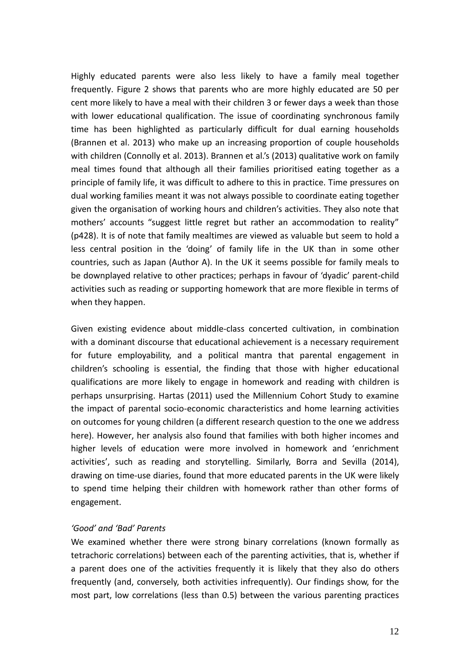Highly educated parents were also less likely to have a family meal together frequently. Figure 2 shows that parents who are more highly educated are 50 per cent more likely to have a meal with their children 3 or fewer days a week than those with lower educational qualification. The issue of coordinating synchronous family time has been highlighted as particularly difficult for dual earning households (Brannen et al. 2013) who make up an increasing proportion of couple households with children (Connolly et al. 2013). Brannen et al.'s (2013) qualitative work on family meal times found that although all their families prioritised eating together as a principle of family life, it was difficult to adhere to this in practice. Time pressures on dual working families meant it was not always possible to coordinate eating together given the organisation of working hours and children's activities. They also note that mothers' accounts "suggest little regret but rather an accommodation to reality" (p428). It is of note that family mealtimes are viewed as valuable but seem to hold a less central position in the 'doing' of family life in the UK than in some other countries, such as Japan (Author A). In the UK it seems possible for family meals to be downplayed relative to other practices; perhaps in favour of 'dyadic' parent-child activities such as reading or supporting homework that are more flexible in terms of when they happen.

Given existing evidence about middle-class concerted cultivation, in combination with a dominant discourse that educational achievement is a necessary requirement for future employability, and a political mantra that parental engagement in children's schooling is essential, the finding that those with higher educational qualifications are more likely to engage in homework and reading with children is perhaps unsurprising. Hartas (2011) used the Millennium Cohort Study to examine the impact of parental socio-economic characteristics and home learning activities on outcomes for young children (a different research question to the one we address here). However, her analysis also found that families with both higher incomes and higher levels of education were more involved in homework and 'enrichment activities', such as reading and storytelling. Similarly, Borra and Sevilla (2014), drawing on time-use diaries, found that more educated parents in the UK were likely to spend time helping their children with homework rather than other forms of engagement.

## 'Good' and 'Bad' Parents

We examined whether there were strong binary correlations (known formally as tetrachoric correlations) between each of the parenting activities, that is, whether if a parent does one of the activities frequently it is likely that they also do others frequently (and, conversely, both activities infrequently). Our findings show, for the most part, low correlations (less than 0.5) between the various parenting practices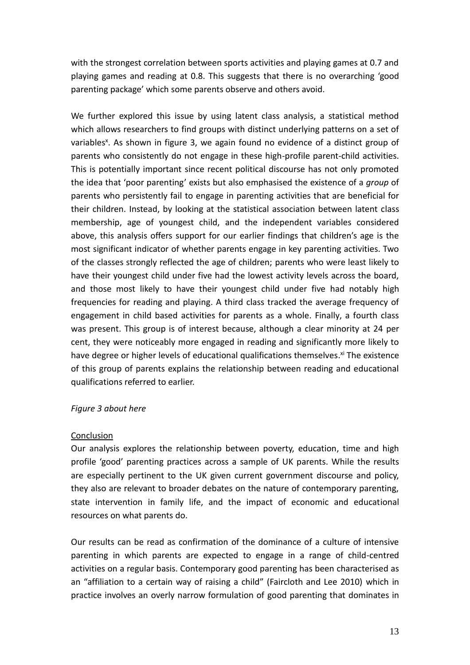with the strongest correlation between sports activities and playing games at 0.7 and playing games and reading at 0.8. This suggests that there is no overarching 'good parenting package' which some parents observe and others avoid.

We further explored this issue by using latent class analysis, a statistical method which allows researchers to find groups with distinct underlying patterns on a set of variables<sup>x</sup>. As shown in figure 3, we again found no evidence of a distinct group of parents who consistently do not engage in these high-profile parent-child activities. This is potentially important since recent political discourse has not only promoted the idea that 'poor parenting' exists but also emphasised the existence of a group of parents who persistently fail to engage in parenting activities that are beneficial for their children. Instead, by looking at the statistical association between latent class membership, age of youngest child, and the independent variables considered above, this analysis offers support for our earlier findings that children's age is the most significant indicator of whether parents engage in key parenting activities. Two of the classes strongly reflected the age of children; parents who were least likely to have their youngest child under five had the lowest activity levels across the board, and those most likely to have their youngest child under five had notably high frequencies for reading and playing. A third class tracked the average frequency of engagement in child based activities for parents as a whole. Finally, a fourth class was present. This group is of interest because, although a clear minority at 24 per cent, they were noticeably more engaged in reading and significantly more likely to have degree or higher levels of educational qualifications themselves.<sup>xi</sup> The existence of this group of parents explains the relationship between reading and educational qualifications referred to earlier.

## Figure 3 about here

## Conclusion

Our analysis explores the relationship between poverty, education, time and high profile 'good' parenting practices across a sample of UK parents. While the results are especially pertinent to the UK given current government discourse and policy, they also are relevant to broader debates on the nature of contemporary parenting, state intervention in family life, and the impact of economic and educational resources on what parents do.

Our results can be read as confirmation of the dominance of a culture of intensive parenting in which parents are expected to engage in a range of child-centred activities on a regular basis. Contemporary good parenting has been characterised as an "affiliation to a certain way of raising a child" (Faircloth and Lee 2010) which in practice involves an overly narrow formulation of good parenting that dominates in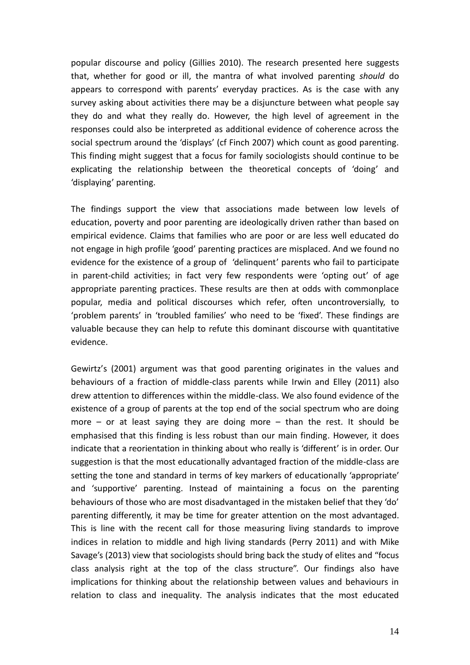popular discourse and policy (Gillies 2010). The research presented here suggests that, whether for good or ill, the mantra of what involved parenting should do appears to correspond with parents' everyday practices. As is the case with any survey asking about activities there may be a disjuncture between what people say they do and what they really do. However, the high level of agreement in the responses could also be interpreted as additional evidence of coherence across the social spectrum around the 'displays' (cf Finch 2007) which count as good parenting. This finding might suggest that a focus for family sociologists should continue to be explicating the relationship between the theoretical concepts of 'doing' and 'displaying' parenting.

The findings support the view that associations made between low levels of education, poverty and poor parenting are ideologically driven rather than based on empirical evidence. Claims that families who are poor or are less well educated do not engage in high profile 'good' parenting practices are misplaced. And we found no evidence for the existence of a group of 'delinguent' parents who fail to participate in parent-child activities; in fact very few respondents were 'opting out' of age appropriate parenting practices. These results are then at odds with commonplace popular, media and political discourses which refer, often uncontroversially, to 'problem parents' in 'troubled families' who need to be 'fixed'. These findings are valuable because they can help to refute this dominant discourse with quantitative evidence.

Gewirtz's (2001) argument was that good parenting originates in the values and behaviours of a fraction of middle-class parents while Irwin and Elley (2011) also drew attention to differences within the middle-class. We also found evidence of the existence of a group of parents at the top end of the social spectrum who are doing more – or at least saying they are doing more – than the rest. It should be emphasised that this finding is less robust than our main finding. However, it does indicate that a reorientation in thinking about who really is 'different' is in order. Our suggestion is that the most educationally advantaged fraction of the middle-class are setting the tone and standard in terms of key markers of educationally 'appropriate' and 'supportive' parenting. Instead of maintaining a focus on the parenting behaviours of those who are most disadvantaged in the mistaken belief that they 'do' parenting differently, it may be time for greater attention on the most advantaged. This is line with the recent call for those measuring living standards to improve indices in relation to middle and high living standards (Perry 2011) and with Mike Savage's (2013) view that sociologists should bring back the study of elites and "focus class analysis right at the top of the class structure". Our findings also have implications for thinking about the relationship between values and behaviours in relation to class and inequality. The analysis indicates that the most educated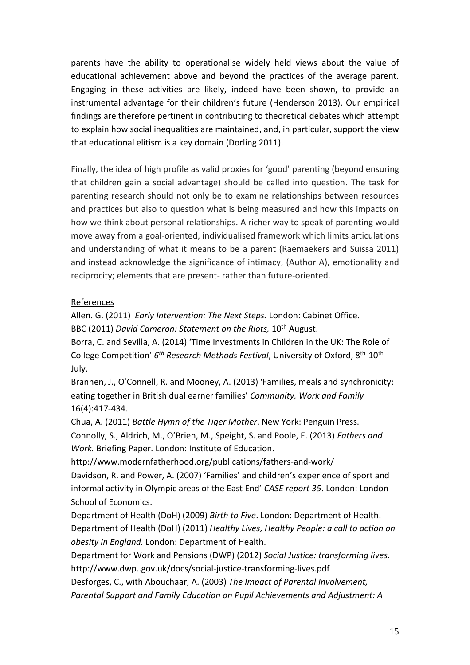parents have the ability to operationalise widely held views about the value of educational achievement above and beyond the practices of the average parent. Engaging in these activities are likely, indeed have been shown, to provide an instrumental advantage for their children's future (Henderson 2013). Our empirical findings are therefore pertinent in contributing to theoretical debates which attempt to explain how social inequalities are maintained, and, in particular, support the view that educational elitism is a key domain (Dorling 2011).

Finally, the idea of high profile as valid proxies for 'good' parenting (beyond ensuring that children gain a social advantage) should be called into question. The task for parenting research should not only be to examine relationships between resources and practices but also to question what is being measured and how this impacts on how we think about personal relationships. A richer way to speak of parenting would move away from a goal-oriented, individualised framework which limits articulations and understanding of what it means to be a parent (Raemaekers and Suissa 2011) and instead acknowledge the significance of intimacy, (Author A), emotionality and reciprocity; elements that are present- rather than future-oriented.

# References

Allen. G. (2011) *Early Intervention: The Next Steps.* London: Cabinet Office. BBC (2011) *David Cameron: Statement on the Riots*, 10<sup>th</sup> August.

Borra, C. and Sevilla, A. (2014) 'Time Investments in Children in the UK: The Role of College Competition' 6<sup>th</sup> Research Methods Festival, University of Oxford, 8<sup>th</sup>-10<sup>th</sup> July.

Brannen, J., O'Connell, R. and Mooney, A. (2013) 'Families, meals and synchronicity: eating together in British dual earner families' *Community, Work and Family* 16(4):417-434.

Chua, A. (2011) *Battle Hymn of the Tiger Mother*. New York: Penguin Press. Connolly, S., Aldrich, M., O'Brien, M., Speight, S. and Poole, E. (2013) Fathers and *Work.* Briefing Paper. London: Institute of Education.

http://www.modernfatherhood.org/publications/fathers-and-work/ Davidson, R. and Power, A. (2007) 'Families' and children's experience of sport and informal activity in Olympic areas of the East End' CASE report 35. London: London School of Economics.

Department of Health (DoH) (2009) *Birth to Five*. London: Department of Health. Department of Health (DoH) (2011) *Healthy Lives, Healthy People: a call to action on obesity in England.* London: Department of Health.

Department for Work and Pensions (DWP) (2012) *Social Justice: transforming lives.* http://www.dwp..gov.uk/docs/social-justice-transforming-lives.pdf

Desforges, C., with Abouchaar, A. (2003) *The Impact of Parental Involvement, Parental Support and Family Education on Pupil Achievements and Adjustment: A*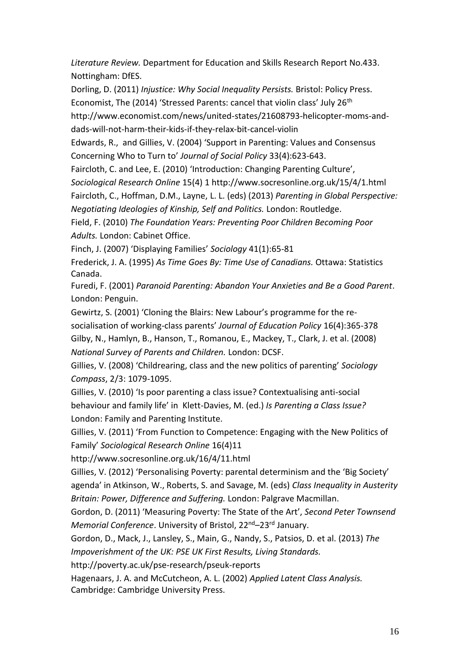Literature Review. Department for Education and Skills Research Report No.433. Nottingham: DfES.

Dorling, D. (2011) Injustice: Why Social Inequality Persists. Bristol: Policy Press. Economist, The (2014) 'Stressed Parents: cancel that violin class' July 26<sup>th</sup> http://www.economist.com/news/united-states/21608793-helicopter-moms-anddads-will-not-harm-their-kids-if-they-relax-bit-cancel-violin

Edwards, R., and Gillies, V. (2004) 'Support in Parenting: Values and Consensus Concerning Who to Turn to' Journal of Social Policy 33(4):623-643.

Faircloth, C. and Lee, E. (2010) 'Introduction: Changing Parenting Culture',

Sociological Research Online 15(4) 1 http://www.socresonline.org.uk/15/4/1.html

Faircloth, C., Hoffman, D.M., Layne, L. L. (eds) (2013) Parenting in Global Perspective:

Negotiating Ideologies of Kinship, Self and Politics. London: Routledge.

Field, F. (2010) The Foundation Years: Preventing Poor Children Becoming Poor Adults. London: Cabinet Office.

Finch, J. (2007) 'Displaying Families' Sociology 41(1):65-81

Frederick, J. A. (1995) As Time Goes By: Time Use of Canadians. Ottawa: Statistics Canada.

Furedi, F. (2001) Paranoid Parentina: Abandon Your Anxieties and Be a Good Parent. London: Penguin.

Gewirtz, S. (2001) 'Cloning the Blairs: New Labour's programme for the resocialisation of working-class parents' Journal of Education Policy 16(4):365-378 Gilby, N., Hamlyn, B., Hanson, T., Romanou, E., Mackey, T., Clark, J. et al. (2008) National Survey of Parents and Children. London: DCSF.

Gillies, V. (2008) 'Childrearing, class and the new politics of parenting' Sociology Compass, 2/3: 1079-1095.

Gillies, V. (2010) 'Is poor parenting a class issue? Contextualising anti-social behaviour and family life' in Klett-Davies, M. (ed.) Is Parenting a Class Issue? London: Family and Parenting Institute.

Gillies, V. (2011) 'From Function to Competence: Engaging with the New Politics of Family' Sociological Research Online 16(4)11

http://www.socresonline.org.uk/16/4/11.html

Gillies, V. (2012) 'Personalising Poverty: parental determinism and the 'Big Society' agenda' in Atkinson, W., Roberts, S. and Savage, M. (eds) Class Inequality in Austerity Britain: Power, Difference and Suffering. London: Palgrave Macmillan.

Gordon, D. (2011) 'Measuring Poverty: The State of the Art', Second Peter Townsend Memorial Conference. University of Bristol, 22<sup>nd</sup>–23<sup>rd</sup> January.

Gordon, D., Mack, J., Lansley, S., Main, G., Nandy, S., Patsios, D. et al. (2013) The Impoverishment of the UK: PSE UK First Results, Living Standards.

http://poverty.ac.uk/pse-research/pseuk-reports

Hagenaars, J. A. and McCutcheon, A. L. (2002) Applied Latent Class Analysis. Cambridge: Cambridge University Press.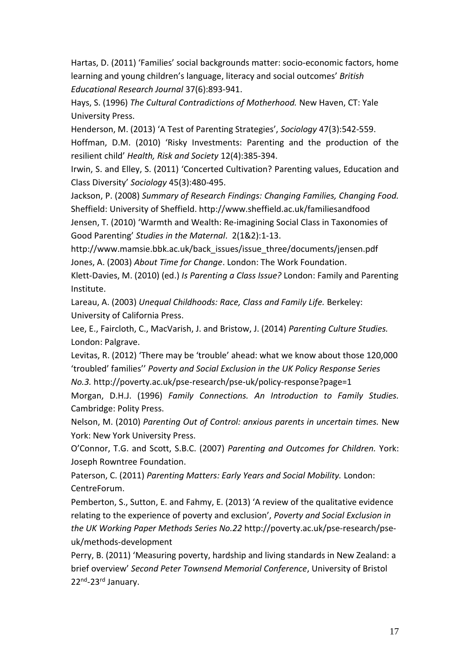Hartas, D. (2011) 'Families' social backgrounds matter: socio-economic factors, home learning and young children's language, literacy and social outcomes' British Educational Research Journal 37(6):893-941.

Hays, S. (1996) The Cultural Contradictions of Motherhood. New Haven, CT: Yale **University Press.** 

Henderson, M. (2013) 'A Test of Parenting Strategies', Sociology 47(3):542-559. Hoffman, D.M. (2010) 'Risky Investments: Parenting and the production of the resilient child' Health, Risk and Society 12(4):385-394.

Irwin, S. and Elley, S. (2011) 'Concerted Cultivation? Parenting values, Education and Class Diversity' Sociology 45(3):480-495.

Jackson, P. (2008) Summary of Research Findings: Changing Families, Changing Food. Sheffield: University of Sheffield. http://www.sheffield.ac.uk/familiesandfood

Jensen, T. (2010) 'Warmth and Wealth: Re-imagining Social Class in Taxonomies of Good Parenting' Studies in the Maternal. 2(1&2):1-13.

http://www.mamsie.bbk.ac.uk/back issues/issue three/documents/jensen.pdf Jones, A. (2003) About Time for Change. London: The Work Foundation.

Klett-Davies, M. (2010) (ed.) Is Parenting a Class Issue? London: Family and Parenting Institute.

Lareau, A. (2003) Unequal Childhoods: Race, Class and Family Life. Berkeley: University of California Press.

Lee, E., Faircloth, C., MacVarish, J. and Bristow, J. (2014) Parenting Culture Studies. London: Palgrave.

Levitas, R. (2012) 'There may be 'trouble' ahead: what we know about those 120,000 'troubled' families'' Poverty and Social Exclusion in the UK Policy Response Series No.3. http://poverty.ac.uk/pse-research/pse-uk/policy-response?page=1

Morgan, D.H.J. (1996) Family Connections. An Introduction to Family Studies. Cambridge: Polity Press.

Nelson, M. (2010) Parenting Out of Control: anxious parents in uncertain times. New York: New York University Press.

O'Connor, T.G. and Scott, S.B.C. (2007) Parenting and Outcomes for Children. York: Joseph Rowntree Foundation.

Paterson, C. (2011) Parenting Matters: Early Years and Social Mobility. London: CentreForum.

Pemberton, S., Sutton, E. and Fahmy, E. (2013) 'A review of the qualitative evidence relating to the experience of poverty and exclusion', Poverty and Social Exclusion in the UK Working Paper Methods Series No.22 http://poverty.ac.uk/pse-research/pseuk/methods-development

Perry, B. (2011) 'Measuring poverty, hardship and living standards in New Zealand: a brief overview' Second Peter Townsend Memorial Conference, University of Bristol 22nd-23rd January.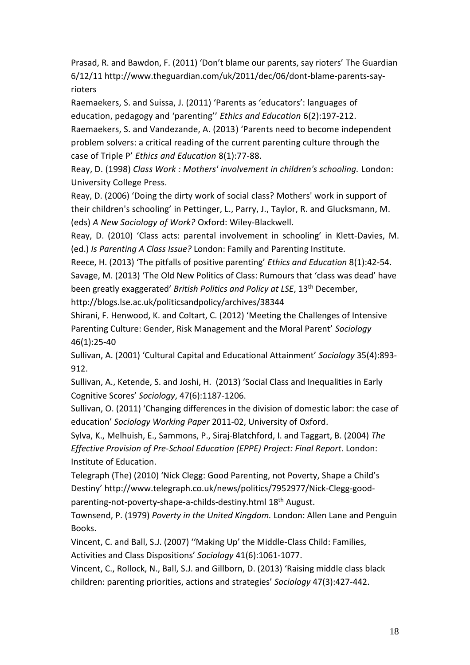Prasad, R. and Bawdon, F. (2011) 'Don't blame our parents, say rioters' The Guardian 6/12/11 http://www.theguardian.com/uk/2011/dec/06/dont-blame-parents-sayrioters

Raemaekers, S. and Suissa, J. (2011) 'Parents as 'educators': languages of education, pedagogy and 'parenting'' Ethics and Education 6(2):197-212.

Raemaekers, S. and Vandezande, A. (2013) 'Parents need to become independent problem solvers: a critical reading of the current parenting culture through the case of Triple P' Ethics and Education 8(1):77-88.

Reay, D. (1998) Class Work: Mothers' involvement in children's schooling. London: University College Press.

Reay, D. (2006) 'Doing the dirty work of social class? Mothers' work in support of their children's schooling' in Pettinger, L., Parry, J., Taylor, R. and Glucksmann, M. (eds) A New Sociology of Work? Oxford: Wiley-Blackwell.

Reay, D. (2010) 'Class acts: parental involvement in schooling' in Klett-Davies, M. (ed.) Is Parenting A Class Issue? London: Family and Parenting Institute.

Reece, H. (2013) 'The pitfalls of positive parenting' Ethics and Education 8(1):42-54. Savage, M. (2013) 'The Old New Politics of Class: Rumours that 'class was dead' have been greatly exaggerated' British Politics and Policy at LSE, 13<sup>th</sup> December, http://blogs.lse.ac.uk/politicsandpolicy/archives/38344

Shirani, F. Henwood, K. and Coltart, C. (2012) 'Meeting the Challenges of Intensive Parenting Culture: Gender, Risk Management and the Moral Parent' Sociology  $46(1):25-40$ 

Sullivan, A. (2001) 'Cultural Capital and Educational Attainment' Sociology 35(4):893-912.

Sullivan, A., Ketende, S. and Joshi, H. (2013) 'Social Class and Inequalities in Early Cognitive Scores' Sociology, 47(6):1187-1206.

Sullivan, O. (2011) 'Changing differences in the division of domestic labor: the case of education' Sociology Working Paper 2011-02, University of Oxford.

Sylva, K., Melhuish, E., Sammons, P., Siraj-Blatchford, I. and Taggart, B. (2004) The Effective Provision of Pre-School Education (EPPE) Project: Final Report. London: Institute of Education.

Telegraph (The) (2010) 'Nick Clegg: Good Parenting, not Poverty, Shape a Child's Destiny' http://www.telegraph.co.uk/news/politics/7952977/Nick-Clegg-good-

parenting-not-poverty-shape-a-childs-destiny.html 18<sup>th</sup> August. Townsend, P. (1979) Poverty in the United Kingdom. London: Allen Lane and Penguin

Books.

Vincent, C. and Ball, S.J. (2007) "Making Up' the Middle-Class Child: Families, Activities and Class Dispositions' Sociology 41(6):1061-1077.

Vincent, C., Rollock, N., Ball, S.J. and Gillborn, D. (2013) 'Raising middle class black children: parenting priorities, actions and strategies' Sociology 47(3):427-442.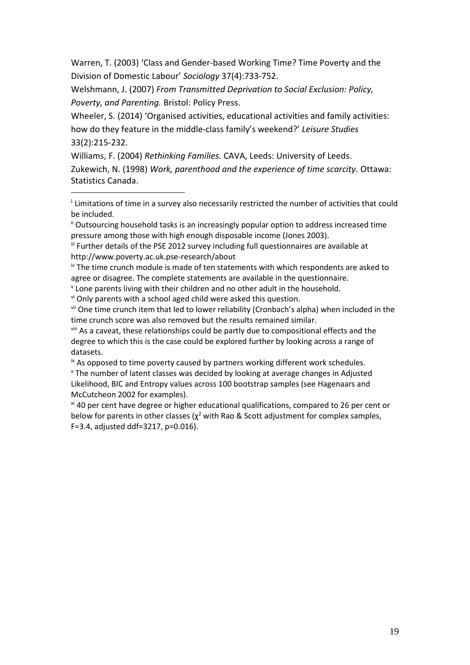Warren, T. (2003) 'Class and Gender-based Working Time? Time Poverty and the Division of Domestic Labour' Sociology 37(4):733-752.

Welshmann, J. (2007) From Transmitted Deprivation to Social Exclusion: Policy, Poverty, and Parenting. Bristol: Policy Press.

Wheeler, S. (2014) 'Organised activities, educational activities and family activities: how do they feature in the middle-class family's weekend?' Leisure Studies 33(2):215-232.

Williams, F. (2004) Rethinking Families. CAVA, Leeds: University of Leeds. Zukewich, N. (1998) Work, parenthood and the experience of time scarcity. Ottawa: Statistics Canada.

<sup>i</sup> Limitations of time in a survey also necessarily restricted the number of activities that could be included.

" Outsourcing household tasks is an increasingly popular option to address increased time pressure among those with high enough disposable income (Jones 2003).

<sup>iv</sup> The time crunch module is made of ten statements with which respondents are asked to agree or disagree. The complete statements are available in the questionnaire.

<sup>v</sup> Lone parents living with their children and no other adult in the household.

vi Only parents with a school aged child were asked this question.

vii One time crunch item that led to lower reliability (Cronbach's alpha) when included in the time crunch score was also removed but the results remained similar.

viii As a caveat, these relationships could be partly due to compositional effects and the degree to which this is the case could be explored further by looking across a range of datasets.

ix As opposed to time poverty caused by partners working different work schedules.

<sup>x</sup> The number of latent classes was decided by looking at average changes in Adjusted Likelihood, BIC and Entropy values across 100 bootstrap samples (see Hagenaars and McCutcheon 2002 for examples).

<sup>xi</sup> 40 per cent have degree or higher educational qualifications, compared to 26 per cent or below for parents in other classes ( $\chi^2$  with Rao & Scott adjustment for complex samples, F=3.4, adjusted ddf=3217, p=0.016).

iii Further details of the PSE 2012 survey including full questionnaires are available at http://www.poverty.ac.uk.pse-research/about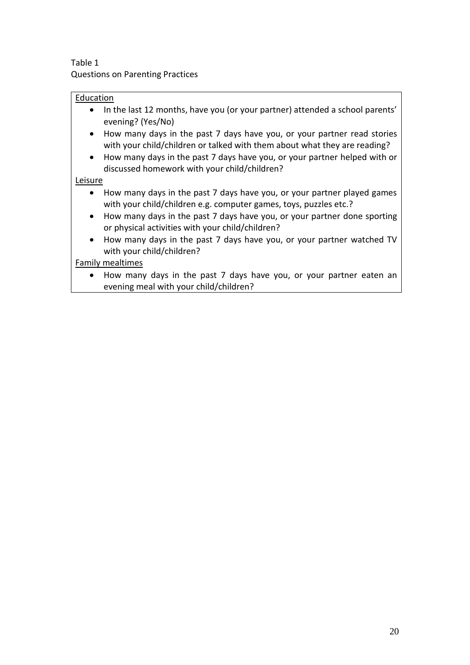Table 1 Questions on Parenting Practices

# Education

- In the last 12 months, have you (or your partner) attended a school parents' evening? (Yes/No)
- How many days in the past 7 days have you, or your partner read stories with your child/children or talked with them about what they are reading?
- How many days in the past 7 days have you, or your partner helped with or discussed homework with your child/children?

# **Leisure**

- How many days in the past 7 days have you, or your partner played games with your child/children e.g. computer games, toys, puzzles etc.?
- How many days in the past 7 days have you, or your partner done sporting or physical activities with your child/children?
- How many days in the past 7 days have you, or your partner watched TV with your child/children?

# Family mealtimes

 How many days in the past 7 days have you, or your partner eaten an evening meal with your child/children?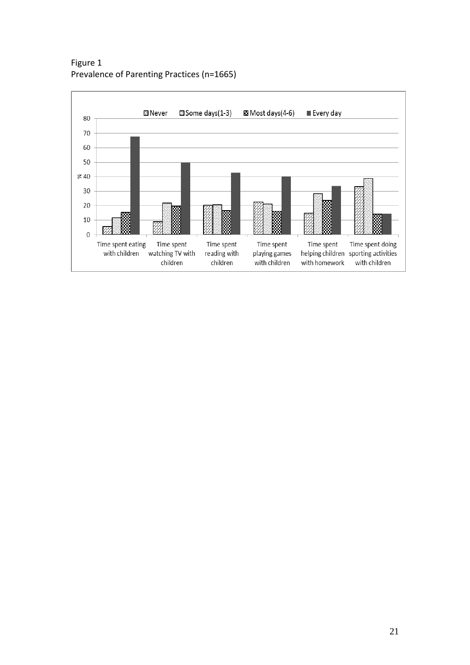

Figure 1 Prevalence of Parenting Practices (n=1665)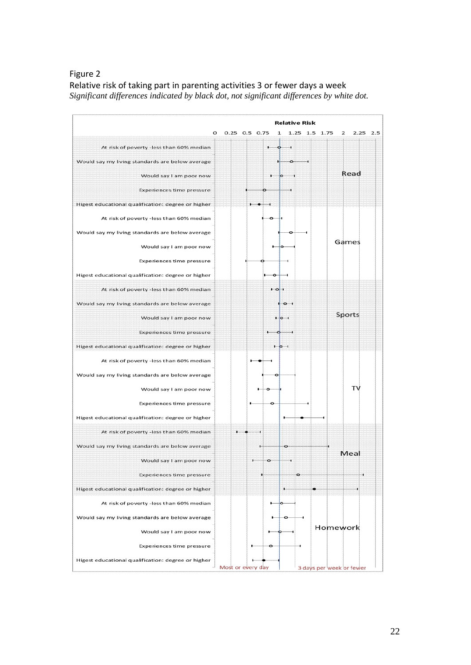# Figure 2 Relative risk of taking part in parenting activities 3 or fewer days a week *Significant differences indicated by black dot, not significant differences by white dot.*